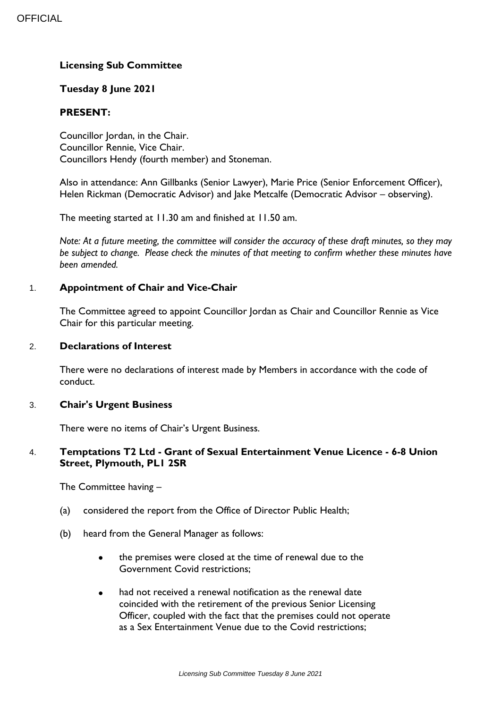# **Licensing Sub Committee**

## **Tuesday 8 June 2021**

### **PRESENT:**

Councillor Jordan, in the Chair. Councillor Rennie, Vice Chair. Councillors Hendy (fourth member) and Stoneman.

Also in attendance: Ann Gillbanks (Senior Lawyer), Marie Price (Senior Enforcement Officer), Helen Rickman (Democratic Advisor) and Jake Metcalfe (Democratic Advisor – observing).

The meeting started at 11.30 am and finished at 11.50 am.

*Note: At a future meeting, the committee will consider the accuracy of these draft minutes, so they may be subject to change. Please check the minutes of that meeting to confirm whether these minutes have been amended.*

### 1. **Appointment of Chair and Vice-Chair**

The Committee agreed to appoint Councillor Jordan as Chair and Councillor Rennie as Vice Chair for this particular meeting.

### 2. **Declarations of Interest**

There were no declarations of interest made by Members in accordance with the code of conduct.

#### 3. **Chair's Urgent Business**

There were no items of Chair's Urgent Business.

# 4. **Temptations T2 Ltd - Grant of Sexual Entertainment Venue Licence - 6-8 Union Street, Plymouth, PL1 2SR**

The Committee having –

- (a) considered the report from the Office of Director Public Health;
- (b) heard from the General Manager as follows:
	- the premises were closed at the time of renewal due to the Government Covid restrictions;
	- had not received a renewal notification as the renewal date coincided with the retirement of the previous Senior Licensing Officer, coupled with the fact that the premises could not operate as a Sex Entertainment Venue due to the Covid restrictions;